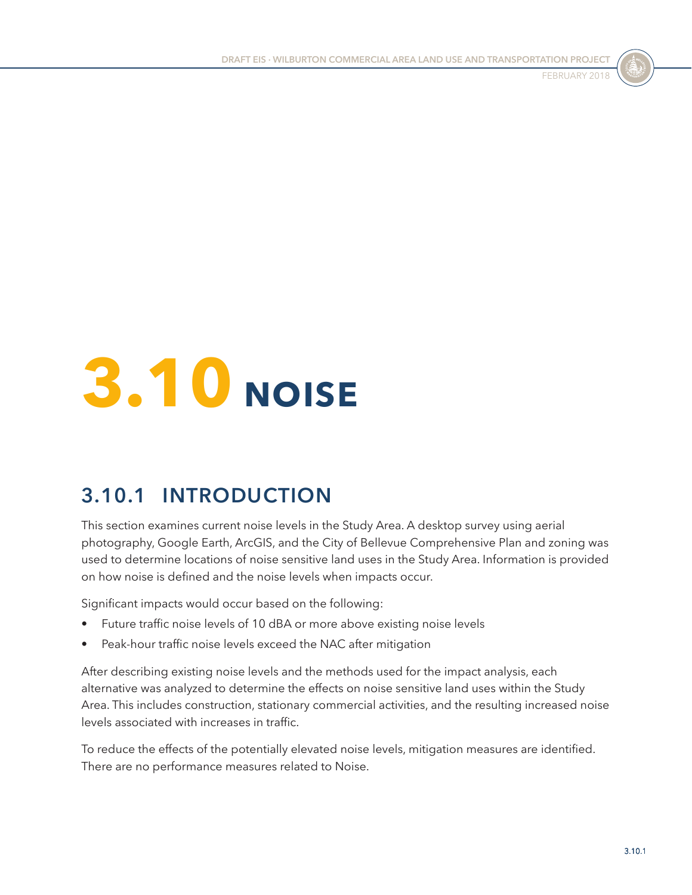



# **3.10 NOISE**

## **3.10.1 INTRODUCTION**

This section examines current noise levels in the Study Area. A desktop survey using aerial photography, Google Earth, ArcGIS, and the City of Bellevue Comprehensive Plan and zoning was used to determine locations of noise sensitive land uses in the Study Area. Information is provided on how noise is defined and the noise levels when impacts occur.

Significant impacts would occur based on the following:

- Future traffic noise levels of 10 dBA or more above existing noise levels
- Peak-hour traffic noise levels exceed the NAC after mitigation

After describing existing noise levels and the methods used for the impact analysis, each alternative was analyzed to determine the effects on noise sensitive land uses within the Study Area. This includes construction, stationary commercial activities, and the resulting increased noise levels associated with increases in traffic.

To reduce the effects of the potentially elevated noise levels, mitigation measures are identified. There are no performance measures related to Noise.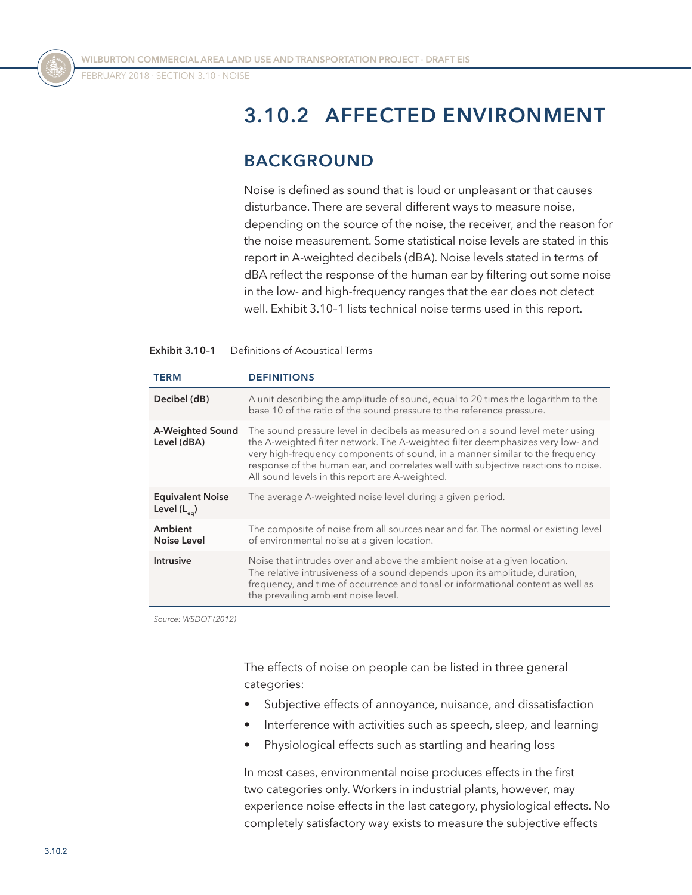FEBRUARY 2018 ⋅ SECTION 3.10 ⋅ Noise



## **3.10.2 AFFECTED ENVIRONMENT**

## **BACKGROUND**

Noise is defined as sound that is loud or unpleasant or that causes disturbance. There are several different ways to measure noise, depending on the source of the noise, the receiver, and the reason for the noise measurement. Some statistical noise levels are stated in this report in A-weighted decibels (dBA). Noise levels stated in terms of dBA reflect the response of the human ear by filtering out some noise in the low- and high-frequency ranges that the ear does not detect well. [Exhibit 3.10–1](#page-1-0) lists technical noise terms used in this report.

#### <span id="page-1-0"></span>**Exhibit 3.10–1** Definitions of Acoustical Terms

| <b>TERM</b>                                 | <b>DEFINITIONS</b>                                                                                                                                                                                                                                                                                                                                                                         |
|---------------------------------------------|--------------------------------------------------------------------------------------------------------------------------------------------------------------------------------------------------------------------------------------------------------------------------------------------------------------------------------------------------------------------------------------------|
| Decibel (dB)                                | A unit describing the amplitude of sound, equal to 20 times the logarithm to the<br>base 10 of the ratio of the sound pressure to the reference pressure.                                                                                                                                                                                                                                  |
| A-Weighted Sound<br>Level (dBA)             | The sound pressure level in decibels as measured on a sound level meter using<br>the A-weighted filter network. The A-weighted filter deemphasizes very low- and<br>very high-frequency components of sound, in a manner similar to the frequency<br>response of the human ear, and correlates well with subjective reactions to noise.<br>All sound levels in this report are A-weighted. |
| <b>Equivalent Noise</b><br>Level $(L_{eq})$ | The average A-weighted noise level during a given period.                                                                                                                                                                                                                                                                                                                                  |
| Ambient<br>Noise Level                      | The composite of noise from all sources near and far. The normal or existing level<br>of environmental noise at a given location.                                                                                                                                                                                                                                                          |
| <b>Intrusive</b>                            | Noise that intrudes over and above the ambient noise at a given location.<br>The relative intrusiveness of a sound depends upon its amplitude, duration,<br>frequency, and time of occurrence and tonal or informational content as well as<br>the prevailing ambient noise level.                                                                                                         |

*Source: WSDOT (2012)*

The effects of noise on people can be listed in three general categories:

- Subjective effects of annoyance, nuisance, and dissatisfaction
- Interference with activities such as speech, sleep, and learning
- Physiological effects such as startling and hearing loss

In most cases, environmental noise produces effects in the first two categories only. Workers in industrial plants, however, may experience noise effects in the last category, physiological effects. No completely satisfactory way exists to measure the subjective effects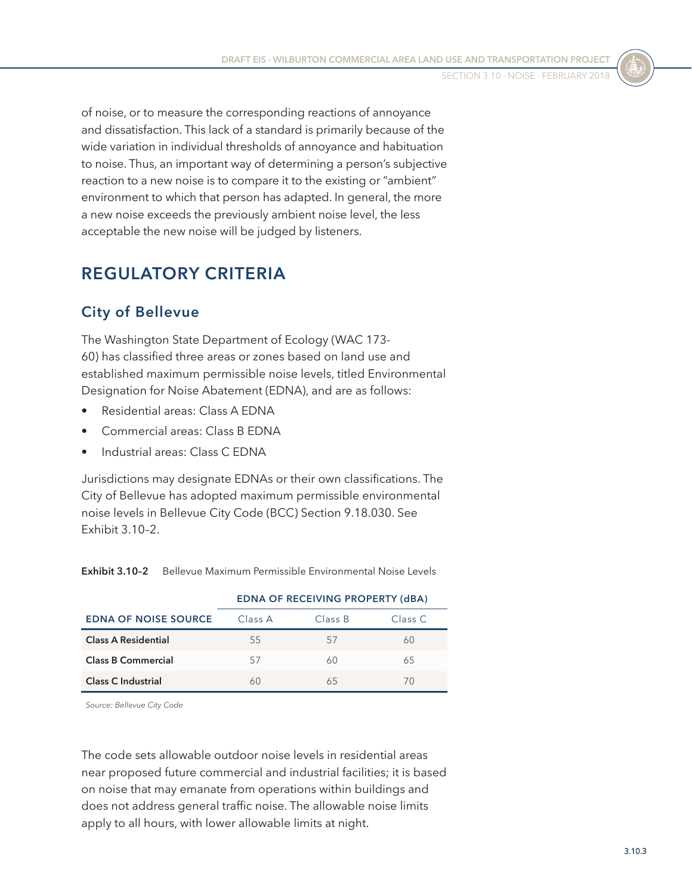of noise, or to measure the corresponding reactions of annoyance and dissatisfaction. This lack of a standard is primarily because of the wide variation in individual thresholds of annoyance and habituation to noise. Thus, an important way of determining a person's subjective reaction to a new noise is to compare it to the existing or "ambient" environment to which that person has adapted. In general, the more a new noise exceeds the previously ambient noise level, the less acceptable the new noise will be judged by listeners.

## **REGULATORY CRITERIA**

## **City of Bellevue**

The Washington State Department of Ecology (WAC 173- 60) has classified three areas or zones based on land use and established maximum permissible noise levels, titled Environmental Designation for Noise Abatement (EDNA), and are as follows:

- Residential areas: Class A EDNA
- Commercial areas: Class B EDNA
- Industrial areas: Class C EDNA

Jurisdictions may designate EDNAs or their own classifications. The City of Bellevue has adopted maximum permissible environmental noise levels in Bellevue City Code (BCC) Section 9.18.030. See [Exhibit 3.10–2](#page-2-0).

|                             | <b>EDNA OF RECEIVING PROPERTY (dBA)</b> |         |         |  |  |
|-----------------------------|-----------------------------------------|---------|---------|--|--|
| <b>EDNA OF NOISE SOURCE</b> | Class A                                 | Class B | Class C |  |  |
| <b>Class A Residential</b>  | 55                                      | 5/      | 60      |  |  |
| <b>Class B Commercial</b>   | 57                                      | 60      | 65      |  |  |
| <b>Class C Industrial</b>   |                                         | 65      |         |  |  |

<span id="page-2-0"></span>**Exhibit 3.10–2** Bellevue Maximum Permissible Environmental Noise Levels

*Source: Bellevue City Code*

The code sets allowable outdoor noise levels in residential areas near proposed future commercial and industrial facilities; it is based on noise that may emanate from operations within buildings and does not address general traffic noise. The allowable noise limits apply to all hours, with lower allowable limits at night.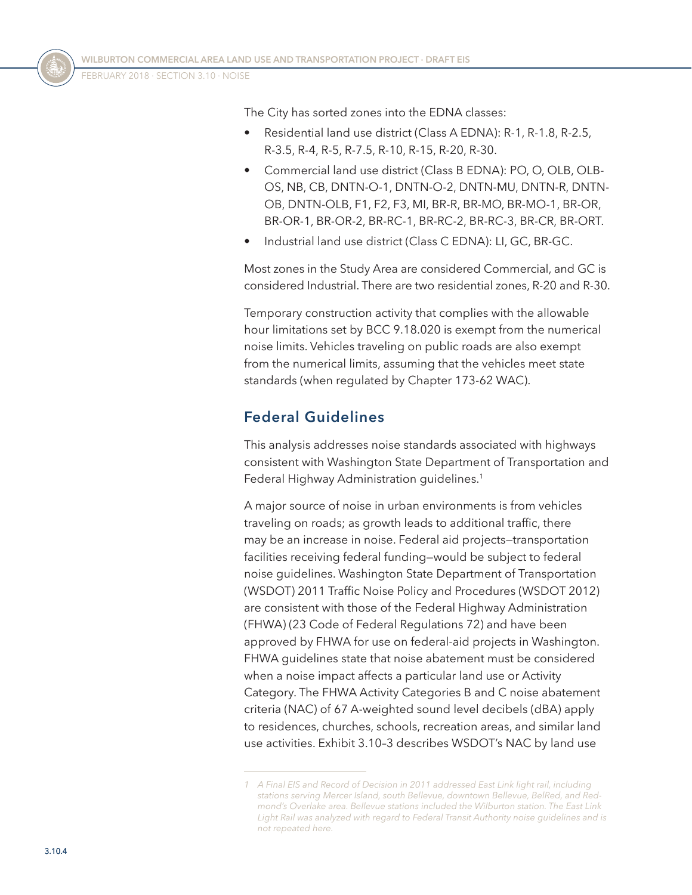FEBRUARY 2018 ⋅ SECTION 3.10 ⋅ Noise

The City has sorted zones into the EDNA classes:

- Residential land use district (Class A EDNA): R-1, R-1.8, R-2.5, R-3.5, R-4, R-5, R-7.5, R-10, R-15, R-20, R-30.
- Commercial land use district (Class B EDNA): PO, O, OLB, OLB-OS, NB, CB, DNTN-O-1, DNTN-O-2, DNTN-MU, DNTN-R, DNTN-OB, DNTN-OLB, F1, F2, F3, MI, BR-R, BR-MO, BR-MO-1, BR-OR, BR-OR-1, BR-OR-2, BR-RC-1, BR-RC-2, BR-RC-3, BR-CR, BR-ORT.
- Industrial land use district (Class C EDNA): LI, GC, BR-GC.

Most zones in the Study Area are considered Commercial, and GC is considered Industrial. There are two residential zones, R-20 and R-30.

Temporary construction activity that complies with the allowable hour limitations set by BCC 9.18.020 is exempt from the numerical noise limits. Vehicles traveling on public roads are also exempt from the numerical limits, assuming that the vehicles meet state standards (when regulated by Chapter 173-62 WAC).

#### **Federal Guidelines**

This analysis addresses noise standards associated with highways consistent with Washington State Department of Transportation and Federal Highway Administration guidelines.<sup>1</sup>

A major source of noise in urban environments is from vehicles traveling on roads; as growth leads to additional traffic, there may be an increase in noise. Federal aid projects—transportation facilities receiving federal funding—would be subject to federal noise guidelines. Washington State Department of Transportation (WSDOT) 2011 Traffic Noise Policy and Procedures (WSDOT 2012) are consistent with those of the Federal Highway Administration (FHWA) (23 Code of Federal Regulations 72) and have been approved by FHWA for use on federal-aid projects in Washington. FHWA guidelines state that noise abatement must be considered when a noise impact affects a particular land use or Activity Category. The FHWA Activity Categories B and C noise abatement criteria (NAC) of 67 A-weighted sound level decibels (dBA) apply to residences, churches, schools, recreation areas, and similar land use activities. [Exhibit 3.10–3](#page-4-0) describes WSDOT's NAC by land use

*<sup>1</sup> A Final EIS and Record of Decision in 2011 addressed East Link light rail, including stations serving Mercer Island, south Bellevue, downtown Bellevue, BelRed, and Redmond's Overlake area. Bellevue stations included the Wilburton station. The East Link Light Rail was analyzed with regard to Federal Transit Authority noise guidelines and is not repeated here.*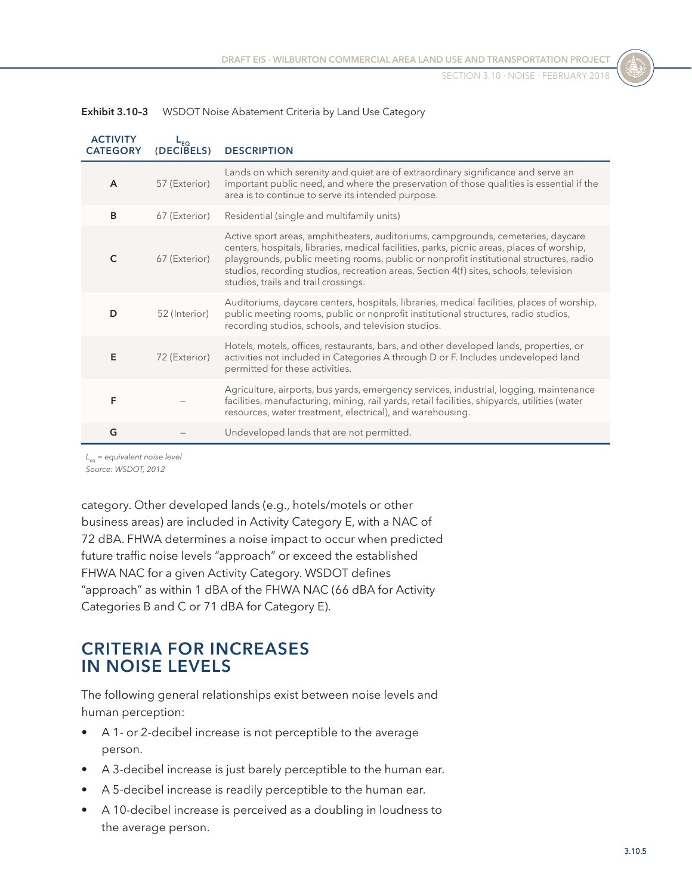| <b>ACTIVITY</b><br><b>CATEGORY</b> | ΈQ.<br>(DECIBELS) | <b>DESCRIPTION</b>                                                                                                                                                                                                                                                                                                                                                                                        |
|------------------------------------|-------------------|-----------------------------------------------------------------------------------------------------------------------------------------------------------------------------------------------------------------------------------------------------------------------------------------------------------------------------------------------------------------------------------------------------------|
| $\overline{A}$                     | 57 (Exterior)     | Lands on which serenity and quiet are of extraordinary significance and serve an<br>important public need, and where the preservation of those qualities is essential if the<br>area is to continue to serve its intended purpose.                                                                                                                                                                        |
| B                                  | 67 (Exterior)     | Residential (single and multifamily units)                                                                                                                                                                                                                                                                                                                                                                |
| C                                  | 67 (Exterior)     | Active sport areas, amphitheaters, auditoriums, campgrounds, cemeteries, daycare<br>centers, hospitals, libraries, medical facilities, parks, picnic areas, places of worship,<br>playgrounds, public meeting rooms, public or nonprofit institutional structures, radio<br>studios, recording studios, recreation areas, Section 4(f) sites, schools, television<br>studios, trails and trail crossings. |
| D                                  | 52 (Interior)     | Auditoriums, daycare centers, hospitals, libraries, medical facilities, places of worship,<br>public meeting rooms, public or nonprofit institutional structures, radio studios,<br>recording studios, schools, and television studios.                                                                                                                                                                   |
| E                                  | 72 (Exterior)     | Hotels, motels, offices, restaurants, bars, and other developed lands, properties, or<br>activities not included in Categories A through D or F. Includes undeveloped land<br>permitted for these activities.                                                                                                                                                                                             |
| F                                  |                   | Agriculture, airports, bus yards, emergency services, industrial, logging, maintenance<br>facilities, manufacturing, mining, rail yards, retail facilities, shipyards, utilities (water<br>resources, water treatment, electrical), and warehousing.                                                                                                                                                      |
| G                                  |                   | Undeveloped lands that are not permitted.                                                                                                                                                                                                                                                                                                                                                                 |

<span id="page-4-0"></span>

| <b>Exhibit 3.10-3</b> | WSDOT Noise Abatement Criteria by Land Use Category |  |  |  |  |  |
|-----------------------|-----------------------------------------------------|--|--|--|--|--|
|-----------------------|-----------------------------------------------------|--|--|--|--|--|

*L<sub>ss</sub>* = equivalent noise level *Source: WSDOT, 2012*

category. Other developed lands (e.g., hotels/motels or other business areas) are included in Activity Category E, with a NAC of 72 dBA. FHWA determines a noise impact to occur when predicted future traffic noise levels "approach" or exceed the established FHWA NAC for a given Activity Category. WSDOT defines "approach" as within 1 dBA of the FHWA NAC (66 dBA for Activity Categories B and C or 71 dBA for Category E).

## **CRITERIA FOR INCREASES IN NOISE LEVELS**

The following general relationships exist between noise levels and human perception:

- A 1- or 2-decibel increase is not perceptible to the average person.
- A 3-decibel increase is just barely perceptible to the human ear.
- A 5-decibel increase is readily perceptible to the human ear.
- A 10-decibel increase is perceived as a doubling in loudness to the average person.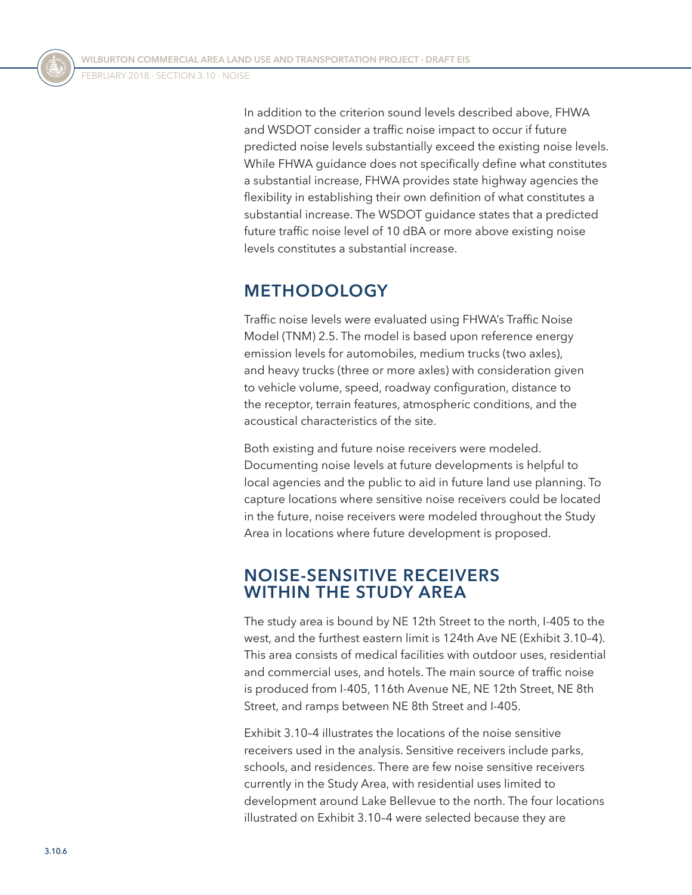In addition to the criterion sound levels described above, FHWA and WSDOT consider a traffic noise impact to occur if future predicted noise levels substantially exceed the existing noise levels. While FHWA guidance does not specifically define what constitutes a substantial increase, FHWA provides state highway agencies the flexibility in establishing their own definition of what constitutes a substantial increase. The WSDOT guidance states that a predicted future traffic noise level of 10 dBA or more above existing noise levels constitutes a substantial increase.

## **METHODOLOGY**

Traffic noise levels were evaluated using FHWA's Traffic Noise Model (TNM) 2.5. The model is based upon reference energy emission levels for automobiles, medium trucks (two axles), and heavy trucks (three or more axles) with consideration given to vehicle volume, speed, roadway configuration, distance to the receptor, terrain features, atmospheric conditions, and the acoustical characteristics of the site.

Both existing and future noise receivers were modeled. Documenting noise levels at future developments is helpful to local agencies and the public to aid in future land use planning. To capture locations where sensitive noise receivers could be located in the future, noise receivers were modeled throughout the Study Area in locations where future development is proposed.

#### **NOISE-SENSITIVE RECEIVERS WITHIN THE STUDY AREA**

The study area is bound by NE 12th Street to the north, I-405 to the west, and the furthest eastern limit is 124th Ave NE [\(Exhibit 3.10–4\)](#page-6-0). This area consists of medical facilities with outdoor uses, residential and commercial uses, and hotels. The main source of traffic noise is produced from I-405, 116th Avenue NE, NE 12th Street, NE 8th Street, and ramps between NE 8th Street and I-405.

[Exhibit 3.10–4](#page-6-0) illustrates the locations of the noise sensitive receivers used in the analysis. Sensitive receivers include parks, schools, and residences. There are few noise sensitive receivers currently in the Study Area, with residential uses limited to development around Lake Bellevue to the north. The four locations illustrated on [Exhibit 3.10–4](#page-6-0) were selected because they are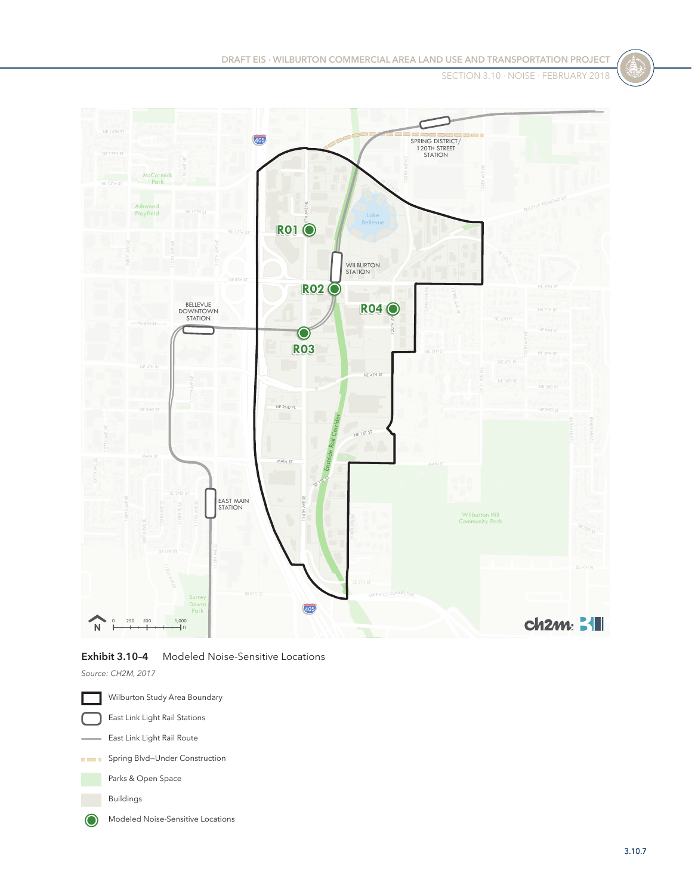**DRAFT EIS ⋅ WILBURTON COMMERCIAL AREA LAND USE AND TRANSPORTATION PROJECT**

SECTION 3.10 ⋅ Noise ⋅ FEBRUARY 2018



#### <span id="page-6-0"></span>**Exhibit 3.10–4** Modeled Noise-Sensitive Locations

*Source: CH2M, 2017*

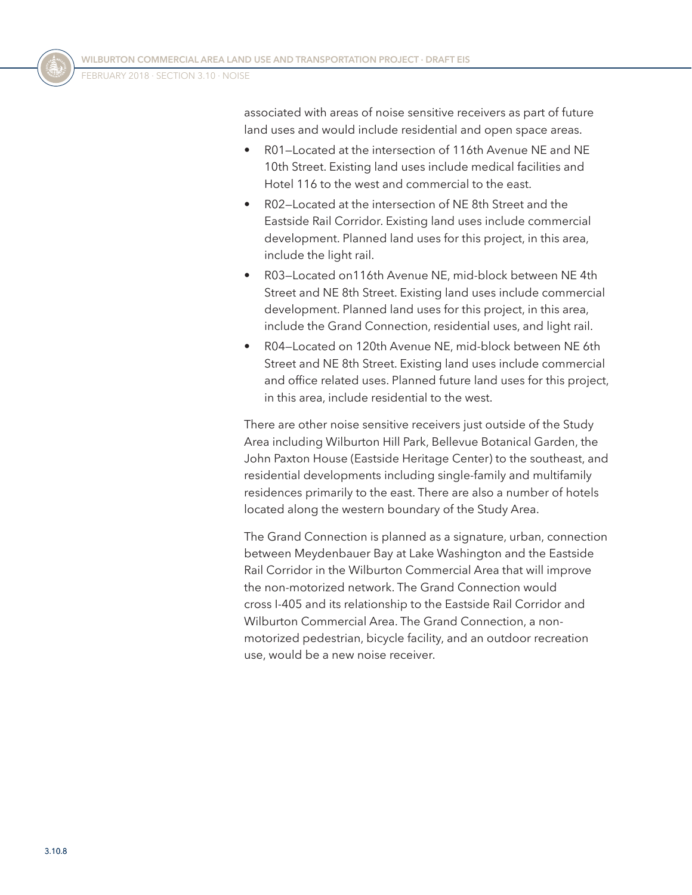associated with areas of noise sensitive receivers as part of future land uses and would include residential and open space areas.

- R01—Located at the intersection of 116th Avenue NE and NE 10th Street. Existing land uses include medical facilities and Hotel 116 to the west and commercial to the east.
- R02—Located at the intersection of NE 8th Street and the Eastside Rail Corridor. Existing land uses include commercial development. Planned land uses for this project, in this area, include the light rail.
- R03—Located on116th Avenue NE, mid-block between NE 4th Street and NE 8th Street. Existing land uses include commercial development. Planned land uses for this project, in this area, include the Grand Connection, residential uses, and light rail.
- R04—Located on 120th Avenue NE, mid-block between NE 6th Street and NE 8th Street. Existing land uses include commercial and office related uses. Planned future land uses for this project, in this area, include residential to the west.

There are other noise sensitive receivers just outside of the Study Area including Wilburton Hill Park, Bellevue Botanical Garden, the John Paxton House (Eastside Heritage Center) to the southeast, and residential developments including single-family and multifamily residences primarily to the east. There are also a number of hotels located along the western boundary of the Study Area.

The Grand Connection is planned as a signature, urban, connection between Meydenbauer Bay at Lake Washington and the Eastside Rail Corridor in the Wilburton Commercial Area that will improve the non-motorized network. The Grand Connection would cross I-405 and its relationship to the Eastside Rail Corridor and Wilburton Commercial Area. The Grand Connection, a nonmotorized pedestrian, bicycle facility, and an outdoor recreation use, would be a new noise receiver.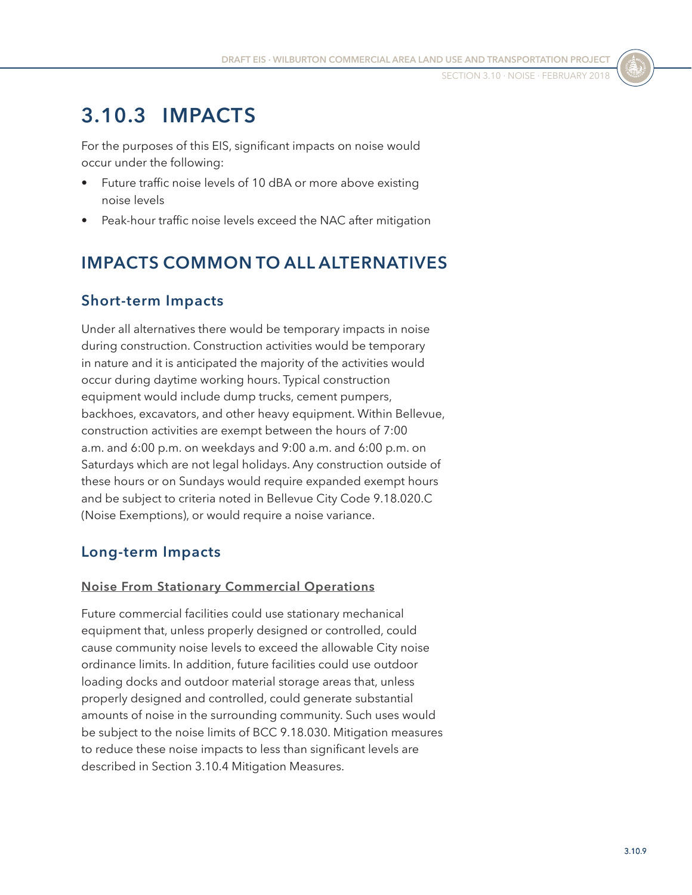## **3.10.3 IMPACTS**

For the purposes of this EIS, significant impacts on noise would occur under the following:

- Future traffic noise levels of 10 dBA or more above existing noise levels
- Peak-hour traffic noise levels exceed the NAC after mitigation

## **IMPACTS COMMON TO ALL ALTERNATIVES**

## **Short-term Impacts**

Under all alternatives there would be temporary impacts in noise during construction. Construction activities would be temporary in nature and it is anticipated the majority of the activities would occur during daytime working hours. Typical construction equipment would include dump trucks, cement pumpers, backhoes, excavators, and other heavy equipment. Within Bellevue, construction activities are exempt between the hours of 7:00 a.m. and 6:00 p.m. on weekdays and 9:00 a.m. and 6:00 p.m. on Saturdays which are not legal holidays. Any construction outside of these hours or on Sundays would require expanded exempt hours and be subject to criteria noted in Bellevue City Code 9.18.020.C (Noise Exemptions), or would require a noise variance.

#### **Long-term Impacts**

#### **Noise From Stationary Commercial Operations**

Future commercial facilities could use stationary mechanical equipment that, unless properly designed or controlled, could cause community noise levels to exceed the allowable City noise ordinance limits. In addition, future facilities could use outdoor loading docks and outdoor material storage areas that, unless properly designed and controlled, could generate substantial amounts of noise in the surrounding community. Such uses would be subject to the noise limits of BCC 9.18.030. Mitigation measures to reduce these noise impacts to less than significant levels are described in Section [3.10.4 Mitigation Measures](#page-11-0).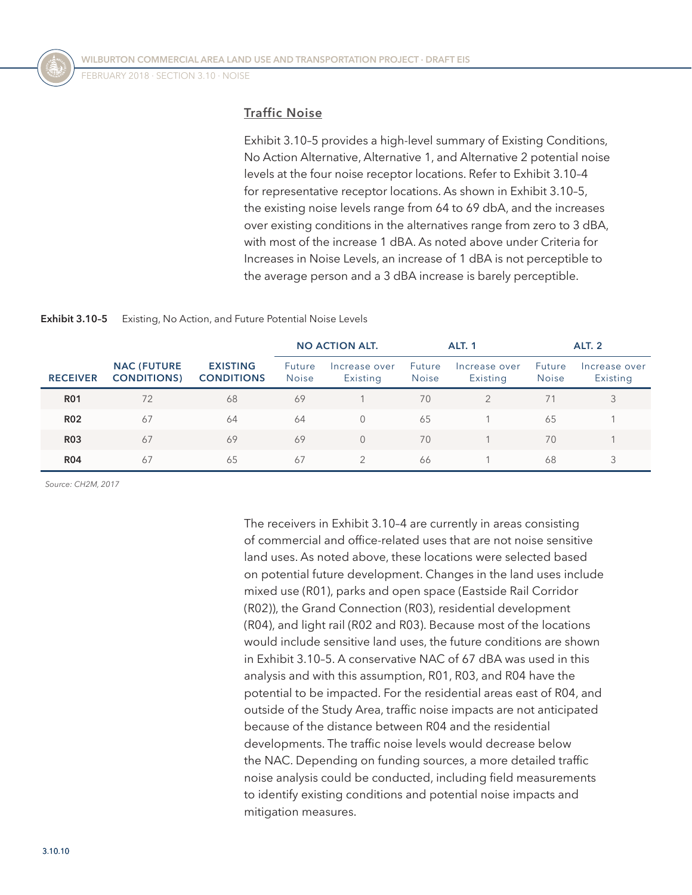FEBRUARY 2018 · SECTION 3.10 · NOISE

#### **Traffic Noise**

[Exhibit 3.10–5](#page-9-0) provides a high-level summary of Existing Conditions, No Action Alternative, Alternative 1, and Alternative 2 potential noise levels at the four noise receptor locations. Refer to [Exhibit 3.10–4](#page-6-0) for representative receptor locations. As shown in [Exhibit 3.10–5](#page-9-0), the existing noise levels range from 64 to 69 dbA, and the increases over existing conditions in the alternatives range from zero to 3 dBA, with most of the increase 1 dBA. As noted above under Criteria for Increases in Noise Levels, an increase of 1 dBA is not perceptible to the average person and a 3 dBA increase is barely perceptible.

<span id="page-9-0"></span>

| <b>Exhibit 3.10-5</b> | Existing, No Action, and Future Potential Noise Levels |
|-----------------------|--------------------------------------------------------|
|-----------------------|--------------------------------------------------------|

|                 |                                         |                                      | <b>NO ACTION ALT.</b>  |                           | <b>ALT. 1</b>                 |                           | <b>ALT. 2</b>                 |                           |
|-----------------|-----------------------------------------|--------------------------------------|------------------------|---------------------------|-------------------------------|---------------------------|-------------------------------|---------------------------|
| <b>RECEIVER</b> | <b>NAC (FUTURE</b><br><b>CONDITIONS</b> | <b>EXISTING</b><br><b>CONDITIONS</b> | Future<br><b>Noise</b> | Increase over<br>Existing | <b>Future</b><br><b>Noise</b> | Increase over<br>Existing | <b>Future</b><br><b>Noise</b> | Increase over<br>Existing |
| <b>R01</b>      | 72                                      | 68                                   | 69                     |                           | 70                            |                           | 71                            | 3                         |
| <b>R02</b>      | 67                                      | 64                                   | 64                     | $\Omega$                  | 65                            |                           | 65                            |                           |
| <b>R03</b>      | 67                                      | 69                                   | 69                     | $\Omega$                  | 70                            |                           | 70                            |                           |
| <b>R04</b>      | 67                                      | 65                                   | 67                     |                           | 66                            |                           | 68                            | 3                         |

*Source: CH2M, 2017*

The receivers in [Exhibit 3.10–4](#page-6-0) are currently in areas consisting of commercial and office-related uses that are not noise sensitive land uses. As noted above, these locations were selected based on potential future development. Changes in the land uses include mixed use (R01), parks and open space (Eastside Rail Corridor (R02)), the Grand Connection (R03), residential development (R04), and light rail (R02 and R03). Because most of the locations would include sensitive land uses, the future conditions are shown in [Exhibit 3.10–5.](#page-9-0) A conservative NAC of 67 dBA was used in this analysis and with this assumption, R01, R03, and R04 have the potential to be impacted. For the residential areas east of R04, and outside of the Study Area, traffic noise impacts are not anticipated because of the distance between R04 and the residential developments. The traffic noise levels would decrease below the NAC. Depending on funding sources, a more detailed traffic noise analysis could be conducted, including field measurements to identify existing conditions and potential noise impacts and mitigation measures.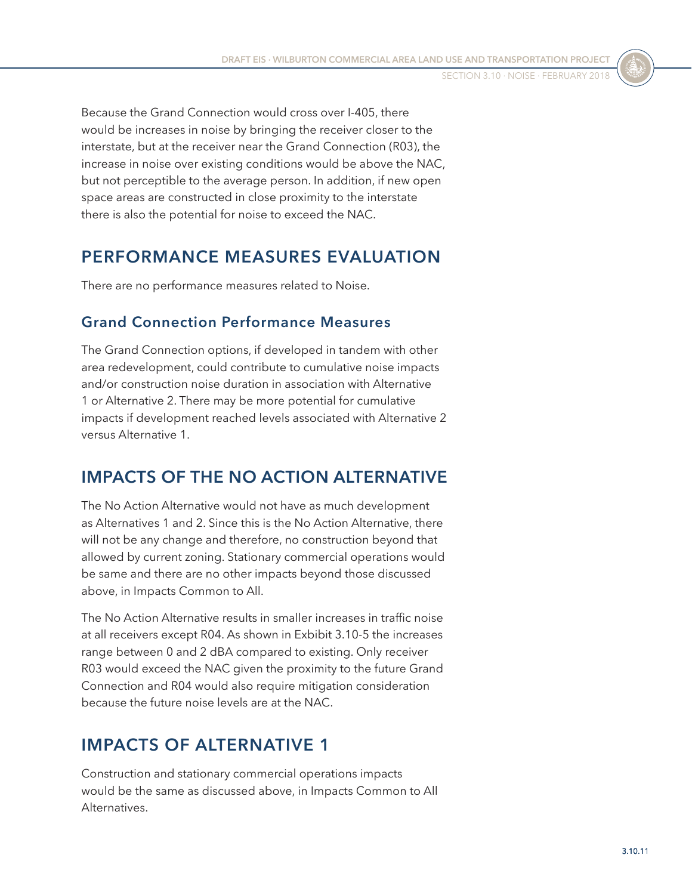Because the Grand Connection would cross over I-405, there would be increases in noise by bringing the receiver closer to the interstate, but at the receiver near the Grand Connection (R03), the increase in noise over existing conditions would be above the NAC, but not perceptible to the average person. In addition, if new open space areas are constructed in close proximity to the interstate there is also the potential for noise to exceed the NAC.

## **PERFORMANCE MEASURES EVALUATION**

There are no performance measures related to Noise.

#### **Grand Connection Performance Measures**

The Grand Connection options, if developed in tandem with other area redevelopment, could contribute to cumulative noise impacts and/or construction noise duration in association with Alternative 1 or Alternative 2. There may be more potential for cumulative impacts if development reached levels associated with Alternative 2 versus Alternative 1.

## **IMPACTS OF THE NO ACTION ALTERNATIVE**

The No Action Alternative would not have as much development as Alternatives 1 and 2. Since this is the No Action Alternative, there will not be any change and therefore, no construction beyond that allowed by current zoning. Stationary commercial operations would be same and there are no other impacts beyond those discussed above, in Impacts Common to All.

The No Action Alternative results in smaller increases in traffic noise at all receivers except R04. As shown in Exbibit 3.10-5 the increases range between 0 and 2 dBA compared to existing. Only receiver R03 would exceed the NAC given the proximity to the future Grand Connection and R04 would also require mitigation consideration because the future noise levels are at the NAC.

## **IMPACTS OF ALTERNATIVE 1**

Construction and stationary commercial operations impacts would be the same as discussed above, in Impacts Common to All Alternatives.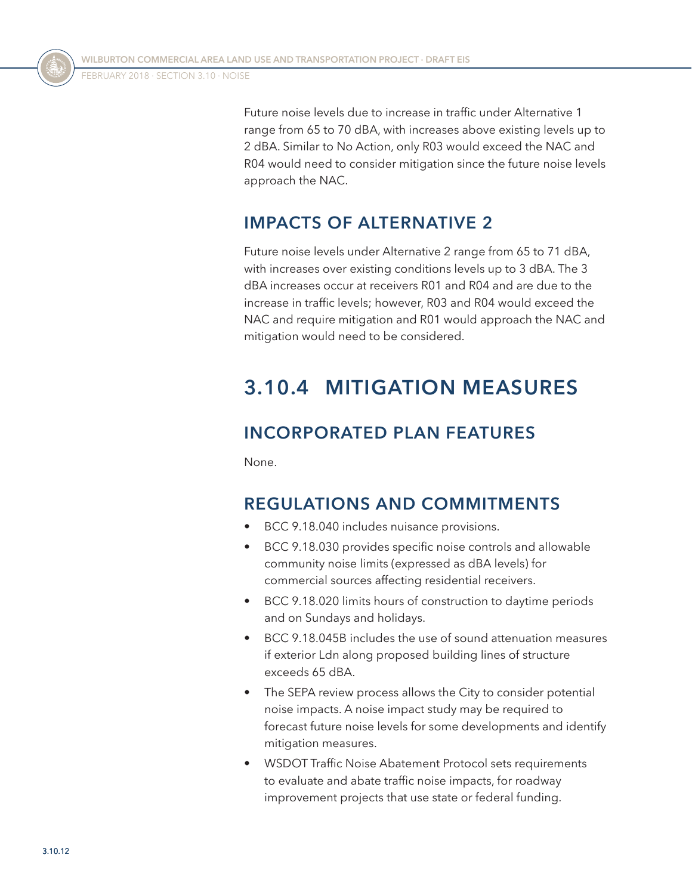Future noise levels due to increase in traffic under Alternative 1 range from 65 to 70 dBA, with increases above existing levels up to 2 dBA. Similar to No Action, only R03 would exceed the NAC and R04 would need to consider mitigation since the future noise levels approach the NAC.

## **IMPACTS OF ALTERNATIVE 2**

Future noise levels under Alternative 2 range from 65 to 71 dBA, with increases over existing conditions levels up to 3 dBA. The 3 dBA increases occur at receivers R01 and R04 and are due to the increase in traffic levels; however, R03 and R04 would exceed the NAC and require mitigation and R01 would approach the NAC and mitigation would need to be considered.

## <span id="page-11-0"></span>**3.10.4 MITIGATION MEASURES**

## **INCORPORATED PLAN FEATURES**

None.

## **REGULATIONS AND COMMITMENTS**

- BCC 9.18.040 includes nuisance provisions.
- BCC 9.18.030 provides specific noise controls and allowable community noise limits (expressed as dBA levels) for commercial sources affecting residential receivers.
- BCC 9.18.020 limits hours of construction to daytime periods and on Sundays and holidays.
- BCC 9.18.045B includes the use of sound attenuation measures if exterior Ldn along proposed building lines of structure exceeds 65 dBA.
- The SEPA review process allows the City to consider potential noise impacts. A noise impact study may be required to forecast future noise levels for some developments and identify mitigation measures.
- WSDOT Traffic Noise Abatement Protocol sets requirements to evaluate and abate traffic noise impacts, for roadway improvement projects that use state or federal funding.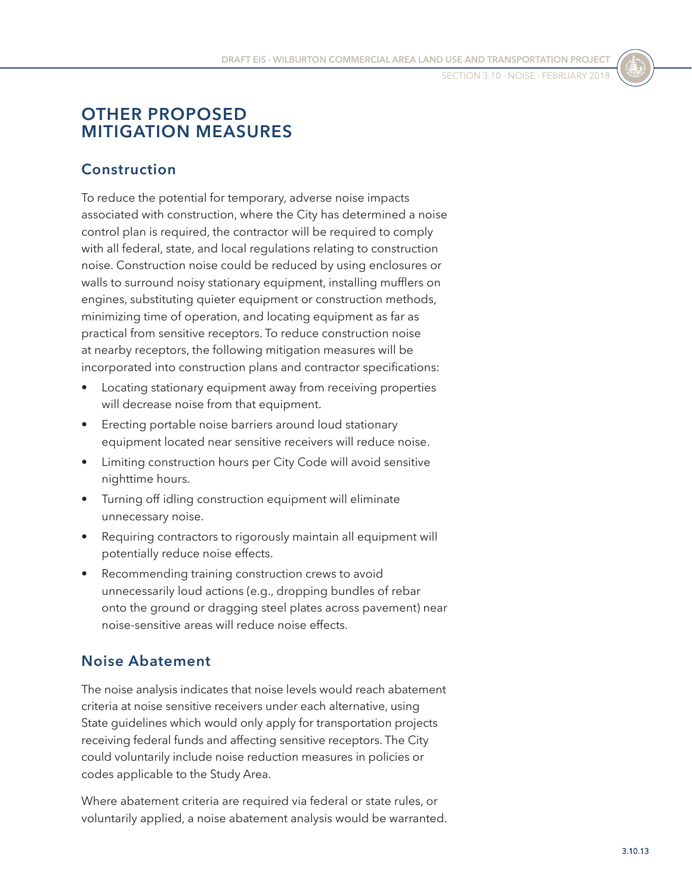## **OTHER PROPOSED MITIGATION MEASURES**

### **Construction**

To reduce the potential for temporary, adverse noise impacts associated with construction, where the City has determined a noise control plan is required, the contractor will be required to comply with all federal, state, and local regulations relating to construction noise. Construction noise could be reduced by using enclosures or walls to surround noisy stationary equipment, installing mufflers on engines, substituting quieter equipment or construction methods, minimizing time of operation, and locating equipment as far as practical from sensitive receptors. To reduce construction noise at nearby receptors, the following mitigation measures will be incorporated into construction plans and contractor specifications:

- Locating stationary equipment away from receiving properties will decrease noise from that equipment.
- Erecting portable noise barriers around loud stationary equipment located near sensitive receivers will reduce noise.
- Limiting construction hours per City Code will avoid sensitive nighttime hours.
- Turning off idling construction equipment will eliminate unnecessary noise.
- Requiring contractors to rigorously maintain all equipment will potentially reduce noise effects.
- Recommending training construction crews to avoid unnecessarily loud actions (e.g., dropping bundles of rebar onto the ground or dragging steel plates across pavement) near noise-sensitive areas will reduce noise effects.

#### **Noise Abatement**

The noise analysis indicates that noise levels would reach abatement criteria at noise sensitive receivers under each alternative, using State guidelines which would only apply for transportation projects receiving federal funds and affecting sensitive receptors. The City could voluntarily include noise reduction measures in policies or codes applicable to the Study Area.

Where abatement criteria are required via federal or state rules, or voluntarily applied, a noise abatement analysis would be warranted.